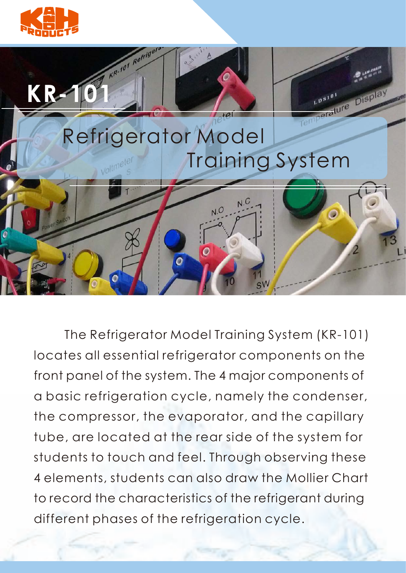



 The Refrigerator Model Training System (KR-101) locates all essential refrigerator components on the front panel of the system. The 4 major components of a basic refrigeration cycle, namely the condenser, the compressor, the evaporator, and the capillary tube, are located at the rear side of the system for students to touch and feel. Through observing these 4 elements, students can also draw the Mollier Chart to record the characteristics of the refrigerant during different phases of the refrigeration cycle.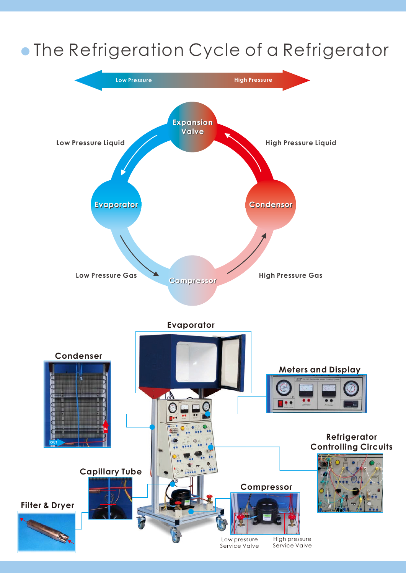